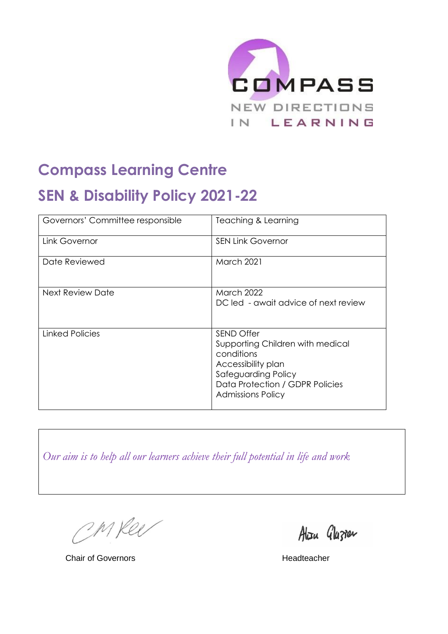

# **Compass Learning Centre**

# **SEN & Disability Policy 2021-22**

| Governors' Committee responsible | Teaching & Learning                                                                                                                                                             |
|----------------------------------|---------------------------------------------------------------------------------------------------------------------------------------------------------------------------------|
| Link Governor                    | <b>SEN Link Governor</b>                                                                                                                                                        |
| Date Reviewed                    | <b>March 2021</b>                                                                                                                                                               |
| <b>Next Review Date</b>          | <b>March 2022</b><br>DC led - await advice of next review                                                                                                                       |
| Linked Policies                  | <b>SEND Offer</b><br>Supporting Children with medical<br>conditions<br>Accessibility plan<br>Safeguarding Policy<br>Data Protection / GDPR Policies<br><b>Admissions Policy</b> |

*Our aim is to help all our learners achieve their full potential in life and work*

CM Ree

Alizu Glazien

**Chair of Governors Headteacher**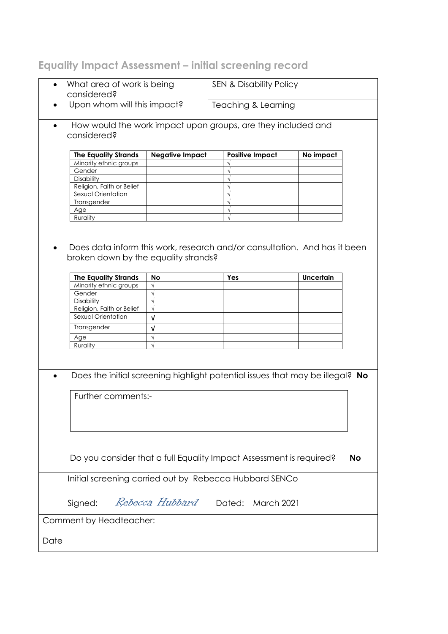# **Equality Impact Assessment – initial screening record**

|                                                                                  | What area of work is being<br>considered?                    |                                                                               | <b>SEN &amp; Disability Policy</b> |                        |                  |  |
|----------------------------------------------------------------------------------|--------------------------------------------------------------|-------------------------------------------------------------------------------|------------------------------------|------------------------|------------------|--|
|                                                                                  |                                                              |                                                                               |                                    |                        |                  |  |
|                                                                                  | Upon whom will this impact?                                  |                                                                               | Teaching & Learning                |                        |                  |  |
|                                                                                  | How would the work impact upon groups, are they included and |                                                                               |                                    |                        |                  |  |
| considered?                                                                      |                                                              |                                                                               |                                    |                        |                  |  |
| <b>The Equality Strands</b>                                                      |                                                              | <b>Negative Impact</b>                                                        |                                    | <b>Positive Impact</b> | No impact        |  |
| Minority ethnic groups                                                           |                                                              |                                                                               |                                    |                        |                  |  |
| Gender                                                                           |                                                              |                                                                               |                                    |                        |                  |  |
| <b>Disability</b>                                                                |                                                              |                                                                               |                                    |                        |                  |  |
| Religion, Faith or Belief                                                        |                                                              |                                                                               |                                    |                        |                  |  |
| Sexual Orientation                                                               |                                                              |                                                                               |                                    |                        |                  |  |
| Transgender                                                                      |                                                              |                                                                               |                                    |                        |                  |  |
| Age                                                                              |                                                              |                                                                               |                                    |                        |                  |  |
| Rurality                                                                         |                                                              |                                                                               |                                    |                        |                  |  |
|                                                                                  |                                                              |                                                                               |                                    |                        |                  |  |
|                                                                                  |                                                              |                                                                               |                                    |                        |                  |  |
|                                                                                  |                                                              | Does data inform this work, research and/or consultation. And has it been     |                                    |                        |                  |  |
|                                                                                  |                                                              | broken down by the equality strands?                                          |                                    |                        |                  |  |
|                                                                                  |                                                              |                                                                               |                                    |                        |                  |  |
| <b>The Equality Strands</b>                                                      |                                                              | <b>No</b>                                                                     | Yes                                |                        | <b>Uncertain</b> |  |
| Minority ethnic groups                                                           |                                                              | $\sqrt{ }$                                                                    |                                    |                        |                  |  |
|                                                                                  |                                                              | $\sqrt{}$                                                                     |                                    |                        |                  |  |
| Gender                                                                           |                                                              | $\sqrt{}$                                                                     |                                    |                        |                  |  |
| Disability                                                                       |                                                              |                                                                               |                                    |                        |                  |  |
| Religion, Faith or Belief                                                        |                                                              | $\sqrt{}$                                                                     |                                    |                        |                  |  |
| Sexual Orientation                                                               |                                                              | $\sqrt{ }$                                                                    |                                    |                        |                  |  |
| Transgender                                                                      |                                                              | $\sqrt{ }$                                                                    |                                    |                        |                  |  |
| Age                                                                              |                                                              | $\sqrt{}$                                                                     |                                    |                        |                  |  |
| Rurality                                                                         |                                                              | $\sqrt{ }$                                                                    |                                    |                        |                  |  |
|                                                                                  |                                                              |                                                                               |                                    |                        |                  |  |
|                                                                                  |                                                              |                                                                               |                                    |                        |                  |  |
|                                                                                  |                                                              | Does the initial screening highlight potential issues that may be illegal? No |                                    |                        |                  |  |
|                                                                                  |                                                              |                                                                               |                                    |                        |                  |  |
|                                                                                  |                                                              |                                                                               |                                    |                        |                  |  |
| Further comments:-                                                               |                                                              |                                                                               |                                    |                        |                  |  |
|                                                                                  |                                                              |                                                                               |                                    |                        |                  |  |
|                                                                                  |                                                              |                                                                               |                                    |                        |                  |  |
|                                                                                  |                                                              |                                                                               |                                    |                        |                  |  |
|                                                                                  |                                                              |                                                                               |                                    |                        |                  |  |
|                                                                                  |                                                              |                                                                               |                                    |                        |                  |  |
|                                                                                  |                                                              |                                                                               |                                    |                        |                  |  |
| Do you consider that a full Equality Impact Assessment is required?<br><b>No</b> |                                                              |                                                                               |                                    |                        |                  |  |
|                                                                                  |                                                              |                                                                               |                                    |                        |                  |  |
| Initial screening carried out by Rebecca Hubbard SENCo                           |                                                              |                                                                               |                                    |                        |                  |  |
|                                                                                  |                                                              |                                                                               |                                    |                        |                  |  |
| <i>Rebecca Hubbard</i> Dated: March 2021<br>Signed:                              |                                                              |                                                                               |                                    |                        |                  |  |
|                                                                                  |                                                              |                                                                               |                                    |                        |                  |  |
| Comment by Headteacher:                                                          |                                                              |                                                                               |                                    |                        |                  |  |
| Date                                                                             |                                                              |                                                                               |                                    |                        |                  |  |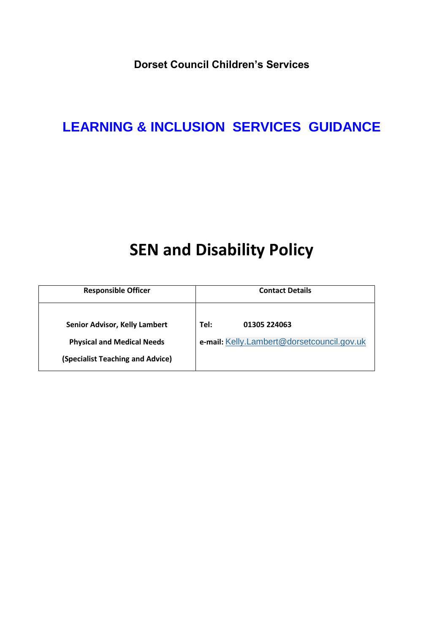**Dorset Council Children's Services**

# **LEARNING & INCLUSION SERVICES GUIDANCE**

# **SEN and Disability Policy**

| <b>Responsible Officer</b>           | <b>Contact Details</b>                     |  |  |
|--------------------------------------|--------------------------------------------|--|--|
| <b>Senior Advisor, Kelly Lambert</b> | Tel:                                       |  |  |
| <b>Physical and Medical Needs</b>    | 01305 224063                               |  |  |
| (Specialist Teaching and Advice)     | e-mail: Kelly.Lambert@dorsetcouncil.gov.uk |  |  |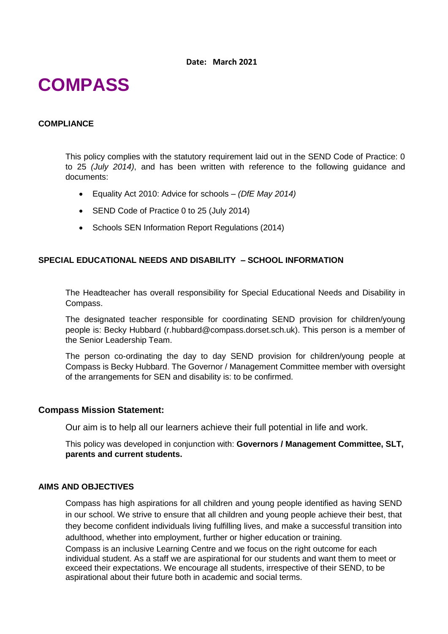# **COMPASS**

### **COMPLIANCE**

This policy complies with the statutory requirement laid out in the SEND Code of Practice: 0 to 25 *(July 2014)*, and has been written with reference to the following guidance and documents:

- Equality Act 2010: Advice for schools *(DfE May 2014)*
- SEND Code of Practice 0 to 25 (July 2014)
- Schools SEN Information Report Regulations (2014)

# **SPECIAL EDUCATIONAL NEEDS AND DISABILITY – SCHOOL INFORMATION**

The Headteacher has overall responsibility for Special Educational Needs and Disability in Compass.

The designated teacher responsible for coordinating SEND provision for children/young people is: Becky Hubbard (r.hubbard@compass.dorset.sch.uk). This person is a member of the Senior Leadership Team.

The person co-ordinating the day to day SEND provision for children/young people at Compass is Becky Hubbard. The Governor / Management Committee member with oversight of the arrangements for SEN and disability is: to be confirmed.

#### **Compass Mission Statement:**

Our aim is to help all our learners achieve their full potential in life and work.

This policy was developed in conjunction with: **Governors / Management Committee, SLT, parents and current students.** 

#### **AIMS AND OBJECTIVES**

Compass has high aspirations for all children and young people identified as having SEND in our school. We strive to ensure that all children and young people achieve their best, that they become confident individuals living fulfilling lives, and make a successful transition into adulthood, whether into employment, further or higher education or training.

Compass is an inclusive Learning Centre and we focus on the right outcome for each individual student. As a staff we are aspirational for our students and want them to meet or exceed their expectations. We encourage all students, irrespective of their SEND, to be aspirational about their future both in academic and social terms.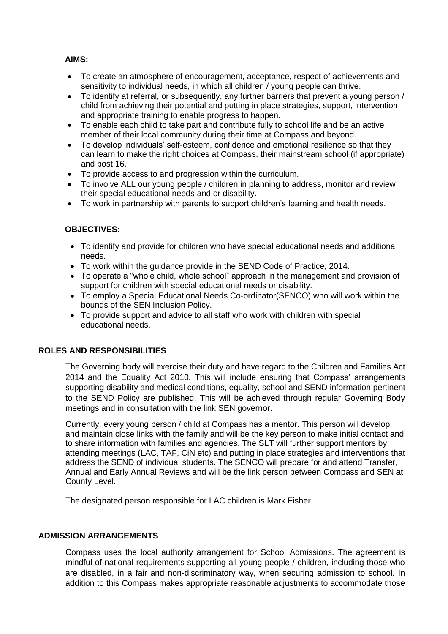# **AIMS:**

- To create an atmosphere of encouragement, acceptance, respect of achievements and sensitivity to individual needs, in which all children / young people can thrive.
- To identify at referral, or subsequently, any further barriers that prevent a young person / child from achieving their potential and putting in place strategies, support, intervention and appropriate training to enable progress to happen.
- To enable each child to take part and contribute fully to school life and be an active member of their local community during their time at Compass and beyond.
- To develop individuals' self-esteem, confidence and emotional resilience so that they can learn to make the right choices at Compass, their mainstream school (if appropriate) and post 16.
- To provide access to and progression within the curriculum.
- To involve ALL our young people / children in planning to address, monitor and review their special educational needs and or disability.
- To work in partnership with parents to support children's learning and health needs.

# **OBJECTIVES:**

- To identify and provide for children who have special educational needs and additional needs.
- To work within the guidance provide in the SEND Code of Practice, 2014.
- To operate a "whole child, whole school" approach in the management and provision of support for children with special educational needs or disability.
- To employ a Special Educational Needs Co-ordinator(SENCO) who will work within the bounds of the SEN Inclusion Policy.
- To provide support and advice to all staff who work with children with special educational needs.

# **ROLES AND RESPONSIBILITIES**

The Governing body will exercise their duty and have regard to the Children and Families Act 2014 and the Equality Act 2010. This will include ensuring that Compass' arrangements supporting disability and medical conditions, equality, school and SEND information pertinent to the SEND Policy are published. This will be achieved through regular Governing Body meetings and in consultation with the link SEN governor.

Currently, every young person / child at Compass has a mentor. This person will develop and maintain close links with the family and will be the key person to make initial contact and to share information with families and agencies. The SLT will further support mentors by attending meetings (LAC, TAF, CiN etc) and putting in place strategies and interventions that address the SEND of individual students. The SENCO will prepare for and attend Transfer, Annual and Early Annual Reviews and will be the link person between Compass and SEN at County Level.

The designated person responsible for LAC children is Mark Fisher.

# **ADMISSION ARRANGEMENTS**

Compass uses the local authority arrangement for School Admissions. The agreement is mindful of national requirements supporting all young people / children, including those who are disabled, in a fair and non-discriminatory way, when securing admission to school. In addition to this Compass makes appropriate reasonable adjustments to accommodate those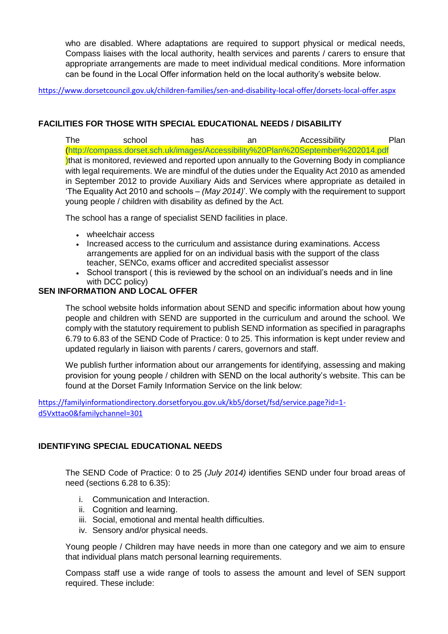who are disabled. Where adaptations are required to support physical or medical needs, Compass liaises with the local authority, health services and parents / carers to ensure that appropriate arrangements are made to meet individual medical conditions. More information can be found in the Local Offer information held on the local authority's website below.

<https://www.dorsetcouncil.gov.uk/children-families/sen-and-disability-local-offer/dorsets-local-offer.aspx>

# **FACILITIES FOR THOSE WITH SPECIAL EDUCATIONAL NEEDS / DISABILITY**

The school has an Accessibility Plan (http://compass.dorset.sch.uk/images/Accessibility%20Plan%20September%202014.pdf Ithat is monitored, reviewed and reported upon annually to the Governing Body in compliance with legal requirements. We are mindful of the duties under the Equality Act 2010 as amended in September 2012 to provide Auxiliary Aids and Services where appropriate as detailed in 'The Equality Act 2010 and schools – *(May 2014)*'. We comply with the requirement to support young people / children with disability as defined by the Act.

The school has a range of specialist SEND facilities in place.

- wheelchair access
- Increased access to the curriculum and assistance during examinations. Access arrangements are applied for on an individual basis with the support of the class teacher, SENCo, exams officer and accredited specialist assessor
- School transport ( this is reviewed by the school on an individual's needs and in line with DCC policy)

# **SEN INFORMATION AND LOCAL OFFER**

The school website holds information about SEND and specific information about how young people and children with SEND are supported in the curriculum and around the school. We comply with the statutory requirement to publish SEND information as specified in paragraphs 6.79 to 6.83 of the SEND Code of Practice: 0 to 25. This information is kept under review and updated regularly in liaison with parents / carers, governors and staff.

We publish further information about our arrangements for identifying, assessing and making provision for young people / children with SEND on the local authority's website. This can be found at the Dorset Family Information Service on the link below:

[https://familyinformationdirectory.dorsetforyou.gov.uk/kb5/dorset/fsd/service.page?id=1](https://familyinformationdirectory.dorsetforyou.gov.uk/kb5/dorset/fsd/service.page?id=1-d5Vxttao0&familychannel=301) [d5Vxttao0&familychannel=301](https://familyinformationdirectory.dorsetforyou.gov.uk/kb5/dorset/fsd/service.page?id=1-d5Vxttao0&familychannel=301)

# **IDENTIFYING SPECIAL EDUCATIONAL NEEDS**

The SEND Code of Practice: 0 to 25 *(July 2014)* identifies SEND under four broad areas of need (sections 6.28 to 6.35):

- i. Communication and Interaction.
- ii. Cognition and learning.
- iii. Social, emotional and mental health difficulties.
- iv. Sensory and/or physical needs.

Young people / Children may have needs in more than one category and we aim to ensure that individual plans match personal learning requirements.

Compass staff use a wide range of tools to assess the amount and level of SEN support required. These include: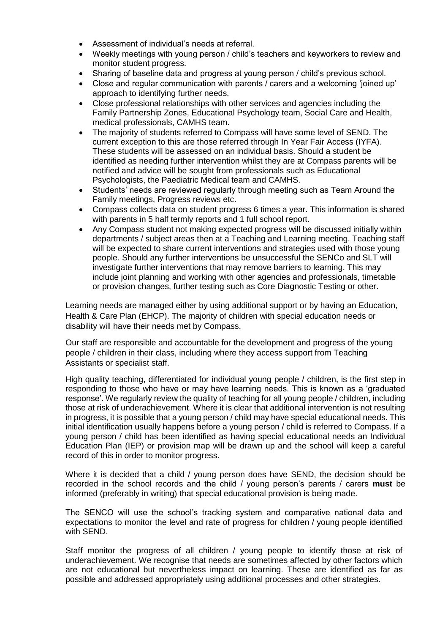- Assessment of individual's needs at referral.
- Weekly meetings with young person / child's teachers and keyworkers to review and monitor student progress.
- Sharing of baseline data and progress at young person / child's previous school.
- Close and regular communication with parents / carers and a welcoming 'joined up' approach to identifying further needs.
- Close professional relationships with other services and agencies including the Family Partnership Zones, Educational Psychology team, Social Care and Health, medical professionals, CAMHS team.
- The majority of students referred to Compass will have some level of SEND. The current exception to this are those referred through In Year Fair Access (IYFA). These students will be assessed on an individual basis. Should a student be identified as needing further intervention whilst they are at Compass parents will be notified and advice will be sought from professionals such as Educational Psychologists, the Paediatric Medical team and CAMHS.
- Students' needs are reviewed regularly through meeting such as Team Around the Family meetings, Progress reviews etc.
- Compass collects data on student progress 6 times a year. This information is shared with parents in 5 half termly reports and 1 full school report.
- Any Compass student not making expected progress will be discussed initially within departments / subject areas then at a Teaching and Learning meeting. Teaching staff will be expected to share current interventions and strategies used with those young people. Should any further interventions be unsuccessful the SENCo and SLT will investigate further interventions that may remove barriers to learning. This may include joint planning and working with other agencies and professionals, timetable or provision changes, further testing such as Core Diagnostic Testing or other.

Learning needs are managed either by using additional support or by having an Education, Health & Care Plan (EHCP). The majority of children with special education needs or disability will have their needs met by Compass.

Our staff are responsible and accountable for the development and progress of the young people / children in their class, including where they access support from Teaching Assistants or specialist staff.

High quality teaching, differentiated for individual young people / children, is the first step in responding to those who have or may have learning needs. This is known as a 'graduated response'. We regularly review the quality of teaching for all young people / children, including those at risk of underachievement. Where it is clear that additional intervention is not resulting in progress, it is possible that a young person / child may have special educational needs. This initial identification usually happens before a young person / child is referred to Compass. If a young person / child has been identified as having special educational needs an Individual Education Plan (IEP) or provision map will be drawn up and the school will keep a careful record of this in order to monitor progress.

Where it is decided that a child / young person does have SEND, the decision should be recorded in the school records and the child / young person's parents / carers **must** be informed (preferably in writing) that special educational provision is being made.

The SENCO will use the school's tracking system and comparative national data and expectations to monitor the level and rate of progress for children / young people identified with SEND.

Staff monitor the progress of all children / young people to identify those at risk of underachievement. We recognise that needs are sometimes affected by other factors which are not educational but nevertheless impact on learning. These are identified as far as possible and addressed appropriately using additional processes and other strategies.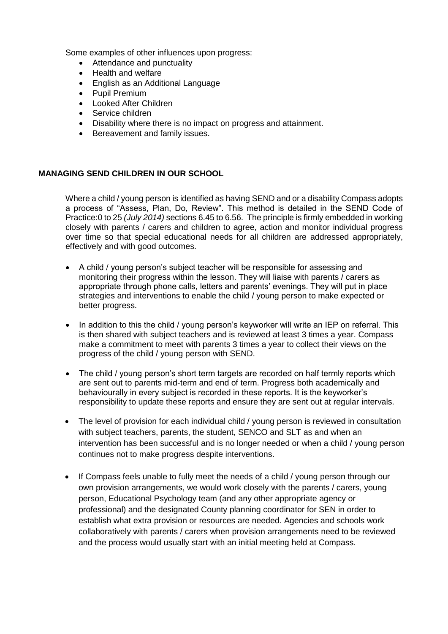Some examples of other influences upon progress:

- Attendance and punctuality
- Health and welfare
- English as an Additional Language
- Pupil Premium
- Looked After Children
- Service children
- Disability where there is no impact on progress and attainment.
- Bereavement and family issues.

# **MANAGING SEND CHILDREN IN OUR SCHOOL**

Where a child / young person is identified as having SEND and or a disability Compass adopts a process of "Assess, Plan, Do, Review". This method is detailed in the SEND Code of Practice:0 to 25 *(July 2014)* sections 6.45 to 6.56. The principle is firmly embedded in working closely with parents / carers and children to agree, action and monitor individual progress over time so that special educational needs for all children are addressed appropriately, effectively and with good outcomes.

- A child / young person's subject teacher will be responsible for assessing and monitoring their progress within the lesson. They will liaise with parents / carers as appropriate through phone calls, letters and parents' evenings. They will put in place strategies and interventions to enable the child / young person to make expected or better progress.
- In addition to this the child / young person's keyworker will write an IEP on referral. This is then shared with subject teachers and is reviewed at least 3 times a year. Compass make a commitment to meet with parents 3 times a year to collect their views on the progress of the child / young person with SEND.
- The child / young person's short term targets are recorded on half termly reports which are sent out to parents mid-term and end of term. Progress both academically and behaviourally in every subject is recorded in these reports. It is the keyworker's responsibility to update these reports and ensure they are sent out at regular intervals.
- The level of provision for each individual child / young person is reviewed in consultation with subject teachers, parents, the student, SENCO and SLT as and when an intervention has been successful and is no longer needed or when a child / young person continues not to make progress despite interventions.
- If Compass feels unable to fully meet the needs of a child / young person through our own provision arrangements, we would work closely with the parents / carers, young person, Educational Psychology team (and any other appropriate agency or professional) and the designated County planning coordinator for SEN in order to establish what extra provision or resources are needed. Agencies and schools work collaboratively with parents / carers when provision arrangements need to be reviewed and the process would usually start with an initial meeting held at Compass.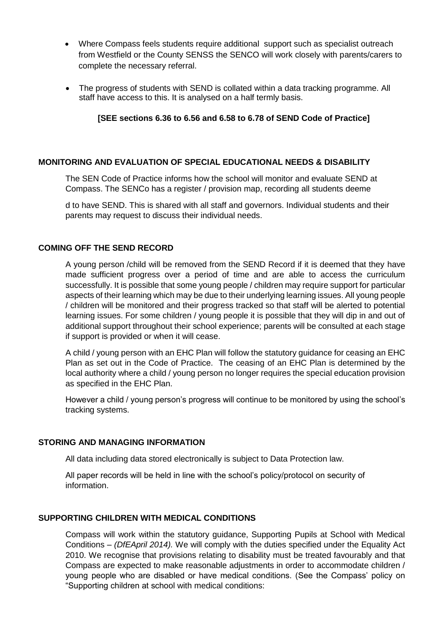- Where Compass feels students require additional support such as specialist outreach from Westfield or the County SENSS the SENCO will work closely with parents/carers to complete the necessary referral.
- The progress of students with SEND is collated within a data tracking programme. All staff have access to this. It is analysed on a half termly basis.

### **[SEE sections 6.36 to 6.56 and 6.58 to 6.78 of SEND Code of Practice]**

# **MONITORING AND EVALUATION OF SPECIAL EDUCATIONAL NEEDS & DISABILITY**

The SEN Code of Practice informs how the school will monitor and evaluate SEND at Compass. The SENCo has a register / provision map, recording all students deeme

d to have SEND. This is shared with all staff and governors. Individual students and their parents may request to discuss their individual needs.

#### **COMING OFF THE SEND RECORD**

A young person /child will be removed from the SEND Record if it is deemed that they have made sufficient progress over a period of time and are able to access the curriculum successfully. It is possible that some young people / children may require support for particular aspects of their learning which may be due to their underlying learning issues. All young people / children will be monitored and their progress tracked so that staff will be alerted to potential learning issues. For some children / young people it is possible that they will dip in and out of additional support throughout their school experience; parents will be consulted at each stage if support is provided or when it will cease.

A child / young person with an EHC Plan will follow the statutory guidance for ceasing an EHC Plan as set out in the Code of Practice. The ceasing of an EHC Plan is determined by the local authority where a child / young person no longer requires the special education provision as specified in the EHC Plan.

However a child / young person's progress will continue to be monitored by using the school's tracking systems.

#### **STORING AND MANAGING INFORMATION**

All data including data stored electronically is subject to Data Protection law.

All paper records will be held in line with the school's policy/protocol on security of information.

#### **SUPPORTING CHILDREN WITH MEDICAL CONDITIONS**

Compass will work within the statutory guidance, Supporting Pupils at School with Medical Conditions – *(DfEApril 2014).* We will comply with the duties specified under the Equality Act 2010. We recognise that provisions relating to disability must be treated favourably and that Compass are expected to make reasonable adjustments in order to accommodate children / young people who are disabled or have medical conditions. (See the Compass' policy on "Supporting children at school with medical conditions: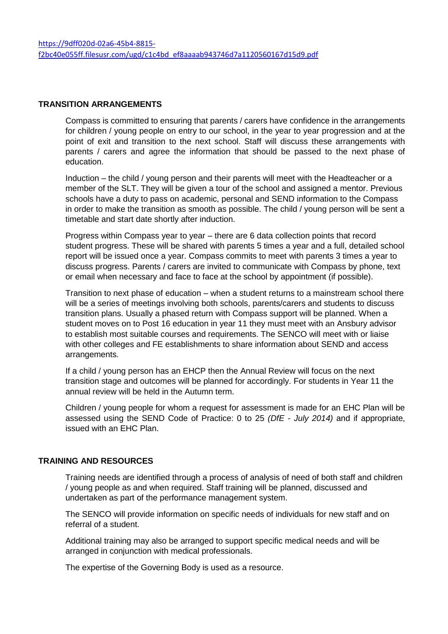# **TRANSITION ARRANGEMENTS**

Compass is committed to ensuring that parents / carers have confidence in the arrangements for children / young people on entry to our school, in the year to year progression and at the point of exit and transition to the next school. Staff will discuss these arrangements with parents / carers and agree the information that should be passed to the next phase of education.

Induction – the child / young person and their parents will meet with the Headteacher or a member of the SLT. They will be given a tour of the school and assigned a mentor. Previous schools have a duty to pass on academic, personal and SEND information to the Compass in order to make the transition as smooth as possible. The child / young person will be sent a timetable and start date shortly after induction.

Progress within Compass year to year – there are 6 data collection points that record student progress. These will be shared with parents 5 times a year and a full, detailed school report will be issued once a year. Compass commits to meet with parents 3 times a year to discuss progress. Parents / carers are invited to communicate with Compass by phone, text or email when necessary and face to face at the school by appointment (if possible).

Transition to next phase of education – when a student returns to a mainstream school there will be a series of meetings involving both schools, parents/carers and students to discuss transition plans. Usually a phased return with Compass support will be planned. When a student moves on to Post 16 education in year 11 they must meet with an Ansbury advisor to establish most suitable courses and requirements. The SENCO will meet with or liaise with other colleges and FE establishments to share information about SEND and access arrangements.

If a child / young person has an EHCP then the Annual Review will focus on the next transition stage and outcomes will be planned for accordingly. For students in Year 11 the annual review will be held in the Autumn term.

Children / young people for whom a request for assessment is made for an EHC Plan will be assessed using the SEND Code of Practice: 0 to 25 *(DfE - July 2014)* and if appropriate, issued with an EHC Plan.

# **TRAINING AND RESOURCES**

Training needs are identified through a process of analysis of need of both staff and children / young people as and when required. Staff training will be planned, discussed and undertaken as part of the performance management system.

The SENCO will provide information on specific needs of individuals for new staff and on referral of a student.

Additional training may also be arranged to support specific medical needs and will be arranged in conjunction with medical professionals.

The expertise of the Governing Body is used as a resource.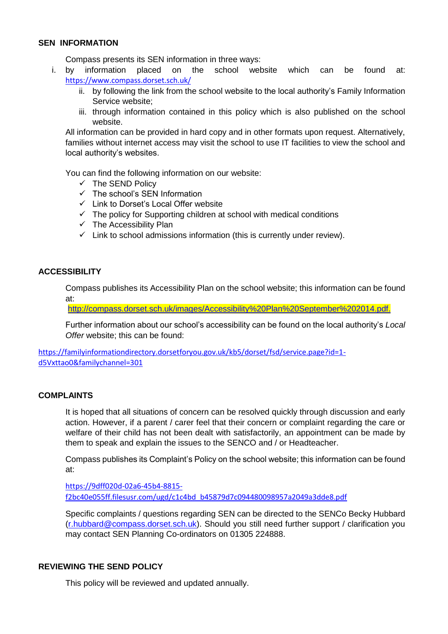### **SEN INFORMATION**

Compass presents its SEN information in three ways:

- i. by information placed on the school website which can be found at: <https://www.compass.dorset.sch.uk/>
	- ii. by following the link from the school website to the local authority's Family Information Service website;
	- iii. through information contained in this policy which is also published on the school website.

All information can be provided in hard copy and in other formats upon request. Alternatively, families without internet access may visit the school to use IT facilities to view the school and local authority's websites.

You can find the following information on our website:

- $\checkmark$  The SEND Policy
- $\checkmark$  The school's SEN Information
- $\checkmark$  Link to Dorset's Local Offer website
- $\checkmark$  The policy for Supporting children at school with medical conditions
- $\checkmark$  The Accessibility Plan
- $\checkmark$  Link to school admissions information (this is currently under review).

#### **ACCESSIBILITY**

Compass publishes its Accessibility Plan on the school website; this information can be found at:

<http://compass.dorset.sch.uk/images/Accessibility%20Plan%20September%202014.pdf.>

Further information about our school's accessibility can be found on the local authority's *Local Offer* website; this can be found:

[https://familyinformationdirectory.dorsetforyou.gov.uk/kb5/dorset/fsd/service.page?id=1](https://familyinformationdirectory.dorsetforyou.gov.uk/kb5/dorset/fsd/service.page?id=1-d5Vxttao0&familychannel=301) [d5Vxttao0&familychannel=301](https://familyinformationdirectory.dorsetforyou.gov.uk/kb5/dorset/fsd/service.page?id=1-d5Vxttao0&familychannel=301)

#### **COMPLAINTS**

It is hoped that all situations of concern can be resolved quickly through discussion and early action. However, if a parent / carer feel that their concern or complaint regarding the care or welfare of their child has not been dealt with satisfactorily, an appointment can be made by them to speak and explain the issues to the SENCO and / or Headteacher.

Compass publishes its Complaint's Policy on the school website; this information can be found at:

[https://9dff020d-02a6-45b4-8815](https://9dff020d-02a6-45b4-8815-f2bc40e055ff.filesusr.com/ugd/c1c4bd_b45879d7c094480098957a2049a3dde8.pdf) [f2bc40e055ff.filesusr.com/ugd/c1c4bd\\_b45879d7c094480098957a2049a3dde8.pdf](https://9dff020d-02a6-45b4-8815-f2bc40e055ff.filesusr.com/ugd/c1c4bd_b45879d7c094480098957a2049a3dde8.pdf)

Specific complaints / questions regarding SEN can be directed to the SENCo Becky Hubbard [\(r.hubbard@compass.dorset.sch.uk\)](mailto:r.hubbard@compass.dorset.sch.uk). Should you still need further support / clarification you may contact SEN Planning Co-ordinators on 01305 224888.

# **REVIEWING THE SEND POLICY**

This policy will be reviewed and updated annually.